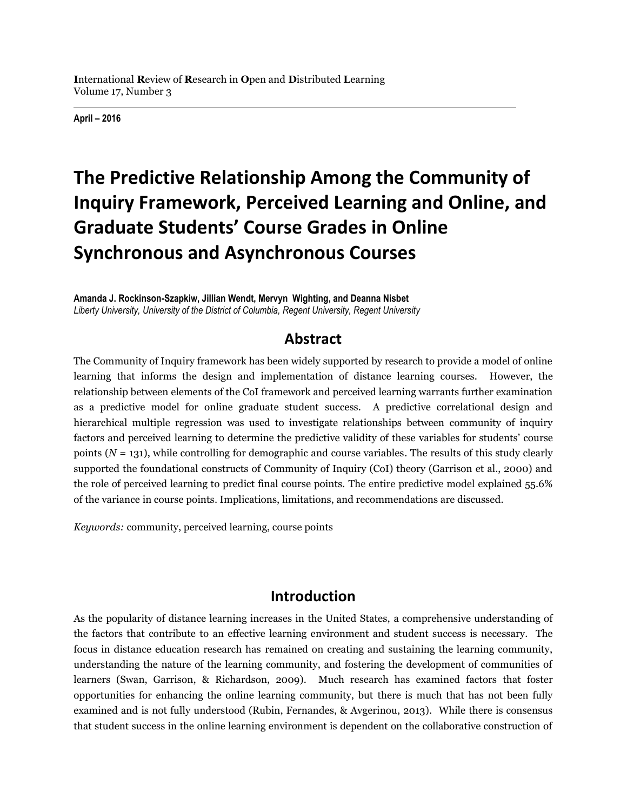#### **I**nternational **R**eview of **R**esearch in **O**pen and **D**istributed **L**earning Volume 17, Number 3

**April – 2016**

# **The Predictive Relationship Among the Community of Inquiry Framework, Perceived Learning and Online, and Graduate Students' Course Grades in Online Synchronous and Asynchronous Courses**

**Amanda J. Rockinson-Szapkiw, Jillian Wendt, Mervyn Wighting, and Deanna Nisbet** *Liberty University, University of the District of Columbia, Regent University, Regent University* 

### **Abstract**

The Community of Inquiry framework has been widely supported by research to provide a model of online learning that informs the design and implementation of distance learning courses. However, the relationship between elements of the CoI framework and perceived learning warrants further examination as a predictive model for online graduate student success. A predictive correlational design and hierarchical multiple regression was used to investigate relationships between community of inquiry factors and perceived learning to determine the predictive validity of these variables for students' course points (*N* = 131), while controlling for demographic and course variables. The results of this study clearly supported the foundational constructs of Community of Inquiry (CoI) theory (Garrison et al., 2000) and the role of perceived learning to predict final course points. The entire predictive model explained 55.6% of the variance in course points. Implications, limitations, and recommendations are discussed.

*Keywords:* community, perceived learning, course points

## **Introduction**

As the popularity of distance learning increases in the United States, a comprehensive understanding of the factors that contribute to an effective learning environment and student success is necessary. The focus in distance education research has remained on creating and sustaining the learning community, understanding the nature of the learning community, and fostering the development of communities of learners (Swan, Garrison, & Richardson, 2009). Much research has examined factors that foster opportunities for enhancing the online learning community, but there is much that has not been fully examined and is not fully understood (Rubin, Fernandes, & Avgerinou, 2013). While there is consensus that student success in the online learning environment is dependent on the collaborative construction of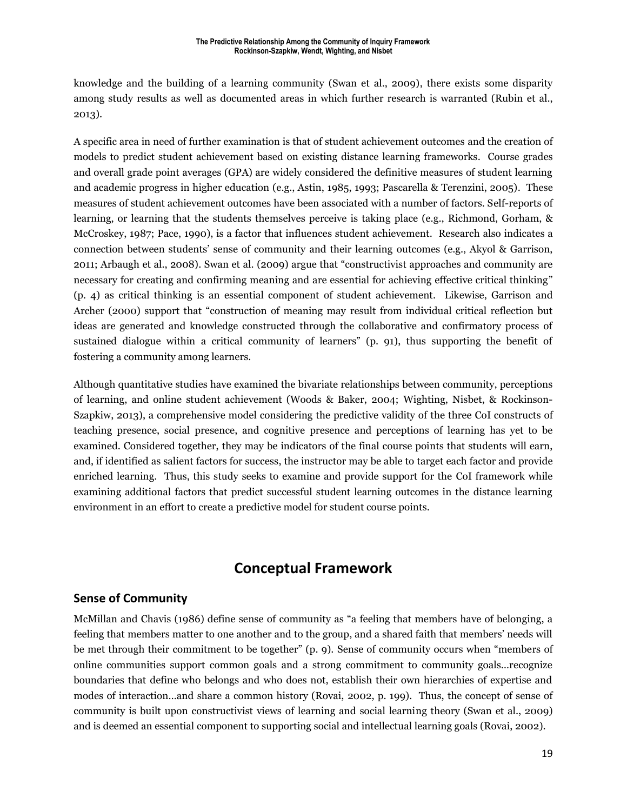knowledge and the building of a learning community (Swan et al., 2009), there exists some disparity among study results as well as documented areas in which further research is warranted (Rubin et al., 2013).

A specific area in need of further examination is that of student achievement outcomes and the creation of models to predict student achievement based on existing distance learning frameworks. Course grades and overall grade point averages (GPA) are widely considered the definitive measures of student learning and academic progress in higher education (e.g., Astin, 1985, 1993; Pascarella & Terenzini, 2005). These measures of student achievement outcomes have been associated with a number of factors. Self-reports of learning, or learning that the students themselves perceive is taking place (e.g., Richmond, Gorham, & McCroskey, 1987; Pace, 1990), is a factor that influences student achievement. Research also indicates a connection between students' sense of community and their learning outcomes (e.g., Akyol & Garrison, 2011; Arbaugh et al., 2008). Swan et al. (2009) argue that "constructivist approaches and community are necessary for creating and confirming meaning and are essential for achieving effective critical thinking" (p. 4) as critical thinking is an essential component of student achievement. Likewise, Garrison and Archer (2000) support that "construction of meaning may result from individual critical reflection but ideas are generated and knowledge constructed through the collaborative and confirmatory process of sustained dialogue within a critical community of learners" (p. 91), thus supporting the benefit of fostering a community among learners.

Although quantitative studies have examined the bivariate relationships between community, perceptions of learning, and online student achievement (Woods & Baker, 2004; Wighting, Nisbet, & Rockinson-Szapkiw, 2013), a comprehensive model considering the predictive validity of the three CoI constructs of teaching presence, social presence, and cognitive presence and perceptions of learning has yet to be examined. Considered together, they may be indicators of the final course points that students will earn, and, if identified as salient factors for success, the instructor may be able to target each factor and provide enriched learning.Thus, this study seeks to examine and provide support for the CoI framework while examining additional factors that predict successful student learning outcomes in the distance learning environment in an effort to create a predictive model for student course points.

# **Conceptual Framework**

#### **Sense of Community**

McMillan and Chavis (1986) define sense of community as "a feeling that members have of belonging, a feeling that members matter to one another and to the group, and a shared faith that members' needs will be met through their commitment to be together" (p. 9). Sense of community occurs when "members of online communities support common goals and a strong commitment to community goals…recognize boundaries that define who belongs and who does not, establish their own hierarchies of expertise and modes of interaction…and share a common history (Rovai, 2002, p. 199). Thus, the concept of sense of community is built upon constructivist views of learning and social learning theory (Swan et al., 2009) and is deemed an essential component to supporting social and intellectual learning goals (Rovai, 2002).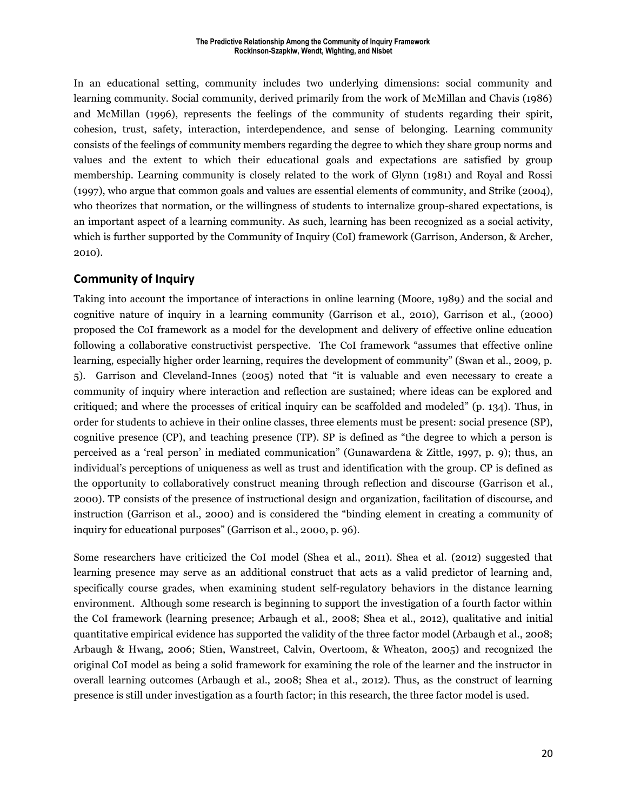In an educational setting, community includes two underlying dimensions: social community and learning community. Social community, derived primarily from the work of McMillan and Chavis (1986) and McMillan (1996), represents the feelings of the community of students regarding their spirit, cohesion, trust, safety, interaction, interdependence, and sense of belonging. Learning community consists of the feelings of community members regarding the degree to which they share group norms and values and the extent to which their educational goals and expectations are satisfied by group membership. Learning community is closely related to the work of Glynn (1981) and Royal and Rossi (1997), who argue that common goals and values are essential elements of community, and Strike (2004), who theorizes that normation, or the willingness of students to internalize group-shared expectations, is an important aspect of a learning community. As such, learning has been recognized as a social activity, which is further supported by the Community of Inquiry (CoI) framework (Garrison, Anderson, & Archer, 2010).

#### **Community of Inquiry**

Taking into account the importance of interactions in online learning (Moore, 1989) and the social and cognitive nature of inquiry in a learning community (Garrison et al., 2010), Garrison et al., (2000) proposed the CoI framework as a model for the development and delivery of effective online education following a collaborative constructivist perspective. The CoI framework "assumes that effective online learning, especially higher order learning, requires the development of community" (Swan et al., 2009, p. 5). Garrison and Cleveland-Innes (2005) noted that "it is valuable and even necessary to create a community of inquiry where interaction and reflection are sustained; where ideas can be explored and critiqued; and where the processes of critical inquiry can be scaffolded and modeled" (p. 134). Thus, in order for students to achieve in their online classes, three elements must be present: social presence (SP), cognitive presence (CP), and teaching presence (TP). SP is defined as "the degree to which a person is perceived as a 'real person' in mediated communication" (Gunawardena & Zittle, 1997, p. 9); thus, an individual's perceptions of uniqueness as well as trust and identification with the group. CP is defined as the opportunity to collaboratively construct meaning through reflection and discourse (Garrison et al., 2000). TP consists of the presence of instructional design and organization, facilitation of discourse, and instruction (Garrison et al., 2000) and is considered the "binding element in creating a community of inquiry for educational purposes" (Garrison et al., 2000, p. 96).

Some researchers have criticized the CoI model (Shea et al., 2011). Shea et al. (2012) suggested that learning presence may serve as an additional construct that acts as a valid predictor of learning and, specifically course grades, when examining student self-regulatory behaviors in the distance learning environment. Although some research is beginning to support the investigation of a fourth factor within the CoI framework (learning presence; Arbaugh et al., 2008; Shea et al., 2012), qualitative and initial quantitative empirical evidence has supported the validity of the three factor model (Arbaugh et al., 2008; Arbaugh & Hwang, 2006; Stien, Wanstreet, Calvin, Overtoom, & Wheaton, 2005) and recognized the original CoI model as being a solid framework for examining the role of the learner and the instructor in overall learning outcomes (Arbaugh et al., 2008; Shea et al., 2012). Thus, as the construct of learning presence is still under investigation as a fourth factor; in this research, the three factor model is used.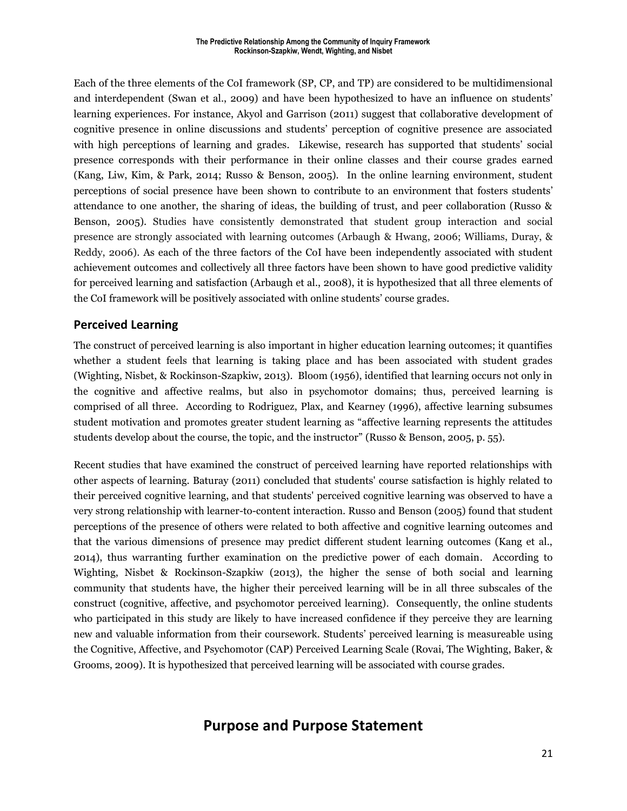Each of the three elements of the CoI framework (SP, CP, and TP) are considered to be multidimensional and interdependent (Swan et al., 2009) and have been hypothesized to have an influence on students' learning experiences. For instance, Akyol and Garrison (2011) suggest that collaborative development of cognitive presence in online discussions and students' perception of cognitive presence are associated with high perceptions of learning and grades. Likewise, research has supported that students' social presence corresponds with their performance in their online classes and their course grades earned (Kang, Liw, Kim, & Park, 2014; Russo & Benson, 2005). In the online learning environment, student perceptions of social presence have been shown to contribute to an environment that fosters students' attendance to one another, the sharing of ideas, the building of trust, and peer collaboration (Russo & Benson, 2005). Studies have consistently demonstrated that student group interaction and social presence are strongly associated with learning outcomes (Arbaugh & Hwang, 2006; Williams, Duray, & Reddy, 2006). As each of the three factors of the CoI have been independently associated with student achievement outcomes and collectively all three factors have been shown to have good predictive validity for perceived learning and satisfaction (Arbaugh et al., 2008), it is hypothesized that all three elements of the CoI framework will be positively associated with online students' course grades.

#### **Perceived Learning**

The construct of perceived learning is also important in higher education learning outcomes; it quantifies whether a student feels that learning is taking place and has been associated with student grades (Wighting, Nisbet, & Rockinson-Szapkiw, 2013). Bloom (1956), identified that learning occurs not only in the cognitive and affective realms, but also in psychomotor domains; thus, perceived learning is comprised of all three. According to Rodriguez, Plax, and Kearney (1996), affective learning subsumes student motivation and promotes greater student learning as "affective learning represents the attitudes students develop about the course, the topic, and the instructor" (Russo & Benson, 2005, p. 55).

Recent studies that have examined the construct of perceived learning have reported relationships with other aspects of learning. Baturay (2011) concluded that students' course satisfaction is highly related to their perceived cognitive learning, and that students' perceived cognitive learning was observed to have a very strong relationship with learner-to-content interaction. Russo and Benson (2005) found that student perceptions of the presence of others were related to both affective and cognitive learning outcomes and that the various dimensions of presence may predict different student learning outcomes (Kang et al., 2014), thus warranting further examination on the predictive power of each domain. According to Wighting, Nisbet & Rockinson-Szapkiw (2013), the higher the sense of both social and learning community that students have, the higher their perceived learning will be in all three subscales of the construct (cognitive, affective, and psychomotor perceived learning). Consequently, the online students who participated in this study are likely to have increased confidence if they perceive they are learning new and valuable information from their coursework. Students' perceived learning is measureable using the Cognitive, Affective, and Psychomotor (CAP) Perceived Learning Scale (Rovai, The Wighting, Baker, & Grooms, 2009). It is hypothesized that perceived learning will be associated with course grades.

## **Purpose and Purpose Statement**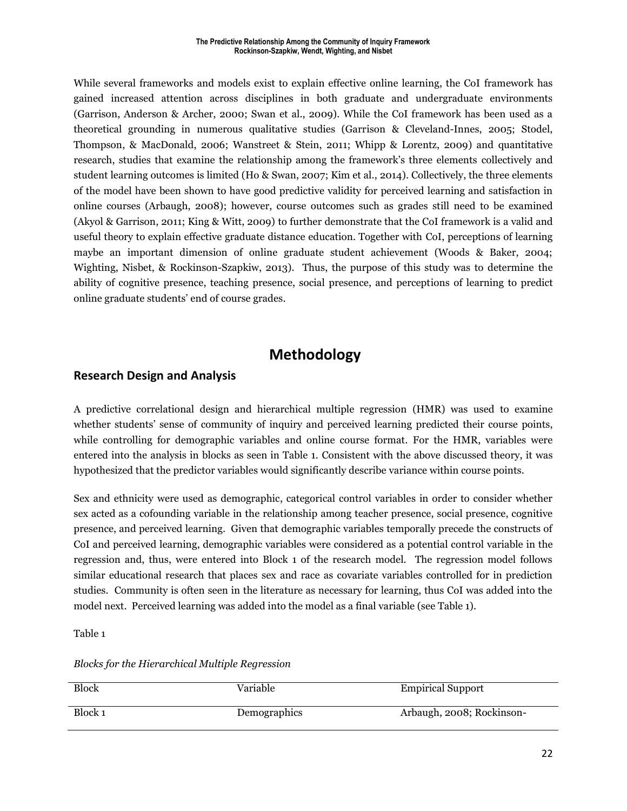While several frameworks and models exist to explain effective online learning, the CoI framework has gained increased attention across disciplines in both graduate and undergraduate environments (Garrison, Anderson & Archer, 2000; Swan et al., 2009). While the CoI framework has been used as a theoretical grounding in numerous qualitative studies (Garrison & Cleveland-Innes, 2005; Stodel, Thompson, & MacDonald, 2006; Wanstreet & Stein, 2011; Whipp & Lorentz, 2009) and quantitative research, studies that examine the relationship among the framework's three elements collectively and student learning outcomes is limited (Ho & Swan, 2007; Kim et al., 2014). Collectively, the three elements of the model have been shown to have good predictive validity for perceived learning and satisfaction in online courses (Arbaugh, 2008); however, course outcomes such as grades still need to be examined (Akyol & Garrison, 2011; King & Witt, 2009) to further demonstrate that the CoI framework is a valid and useful theory to explain effective graduate distance education. Together with CoI, perceptions of learning maybe an important dimension of online graduate student achievement (Woods & Baker, 2004; Wighting, Nisbet, & Rockinson-Szapkiw, 2013). Thus, the purpose of this study was to determine the ability of cognitive presence, teaching presence, social presence, and perceptions of learning to predict online graduate students' end of course grades.

# **Methodology**

#### **Research Design and Analysis**

A predictive correlational design and hierarchical multiple regression (HMR) was used to examine whether students' sense of community of inquiry and perceived learning predicted their course points, while controlling for demographic variables and online course format. For the HMR, variables were entered into the analysis in blocks as seen in Table 1. Consistent with the above discussed theory, it was hypothesized that the predictor variables would significantly describe variance within course points.

Sex and ethnicity were used as demographic, categorical control variables in order to consider whether sex acted as a cofounding variable in the relationship among teacher presence, social presence, cognitive presence, and perceived learning. Given that demographic variables temporally precede the constructs of CoI and perceived learning, demographic variables were considered as a potential control variable in the regression and, thus, were entered into Block 1 of the research model. The regression model follows similar educational research that places sex and race as covariate variables controlled for in prediction studies. Community is often seen in the literature as necessary for learning, thus CoI was added into the model next. Perceived learning was added into the model as a final variable (see Table 1).

Table 1

*Blocks for the Hierarchical Multiple Regression*

| <b>Block</b>       | Variable     | <b>Empirical Support</b>  |
|--------------------|--------------|---------------------------|
| Block <sub>1</sub> | Demographics | Arbaugh, 2008; Rockinson- |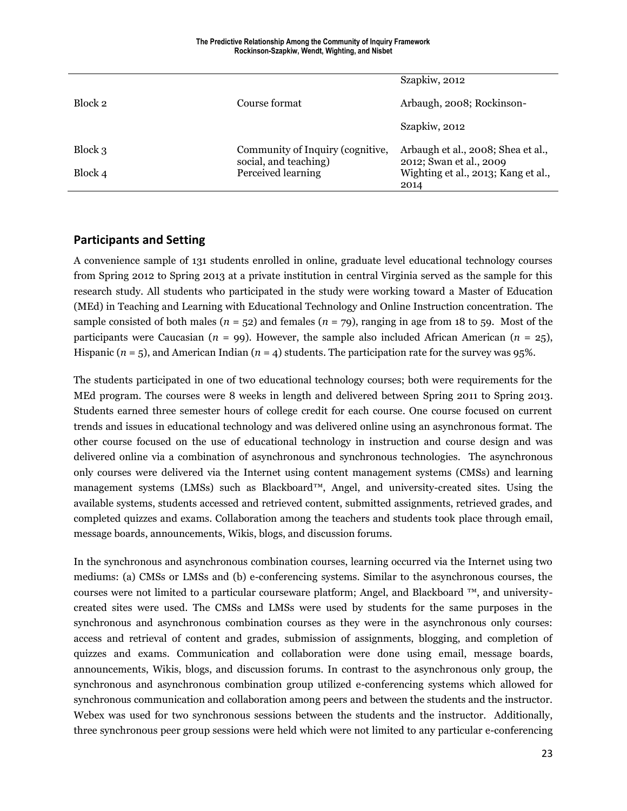|         |                                                           | Szapkiw, 2012                                                 |
|---------|-----------------------------------------------------------|---------------------------------------------------------------|
| Block 2 | Course format                                             | Arbaugh, 2008; Rockinson-                                     |
|         |                                                           | Szapkiw, 2012                                                 |
| Block 3 | Community of Inquiry (cognitive,<br>social, and teaching) | Arbaugh et al., 2008; Shea et al.,<br>2012; Swan et al., 2009 |
| Block 4 | Perceived learning                                        | Wighting et al., 2013; Kang et al.,<br>2014                   |

#### **Participants and Setting**

A convenience sample of 131 students enrolled in online, graduate level educational technology courses from Spring 2012 to Spring 2013 at a private institution in central Virginia served as the sample for this research study. All students who participated in the study were working toward a Master of Education (MEd) in Teaching and Learning with Educational Technology and Online Instruction concentration. The sample consisted of both males ( $n = 52$ ) and females ( $n = 79$ ), ranging in age from 18 to 59. Most of the participants were Caucasian ( $n = 99$ ). However, the sample also included African American ( $n = 25$ ), Hispanic ( $n = 5$ ), and American Indian ( $n = 4$ ) students. The participation rate for the survey was 95%.

The students participated in one of two educational technology courses; both were requirements for the MEd program. The courses were 8 weeks in length and delivered between Spring 2011 to Spring 2013. Students earned three semester hours of college credit for each course. One course focused on current trends and issues in educational technology and was delivered online using an asynchronous format. The other course focused on the use of educational technology in instruction and course design and was delivered online via a combination of asynchronous and synchronous technologies. The asynchronous only courses were delivered via the Internet using content management systems (CMSs) and learning management systems (LMSs) such as Blackboard™, Angel, and university-created sites. Using the available systems, students accessed and retrieved content, submitted assignments, retrieved grades, and completed quizzes and exams. Collaboration among the teachers and students took place through email, message boards, announcements, Wikis, blogs, and discussion forums.

In the synchronous and asynchronous combination courses, learning occurred via the Internet using two mediums: (a) CMSs or LMSs and (b) e-conferencing systems. Similar to the asynchronous courses, the courses were not limited to a particular courseware platform; Angel, and Blackboard ™, and universitycreated sites were used. The CMSs and LMSs were used by students for the same purposes in the synchronous and asynchronous combination courses as they were in the asynchronous only courses: access and retrieval of content and grades, submission of assignments, blogging, and completion of quizzes and exams. Communication and collaboration were done using email, message boards, announcements, Wikis, blogs, and discussion forums. In contrast to the asynchronous only group, the synchronous and asynchronous combination group utilized e-conferencing systems which allowed for synchronous communication and collaboration among peers and between the students and the instructor. Webex was used for two synchronous sessions between the students and the instructor. Additionally, three synchronous peer group sessions were held which were not limited to any particular e-conferencing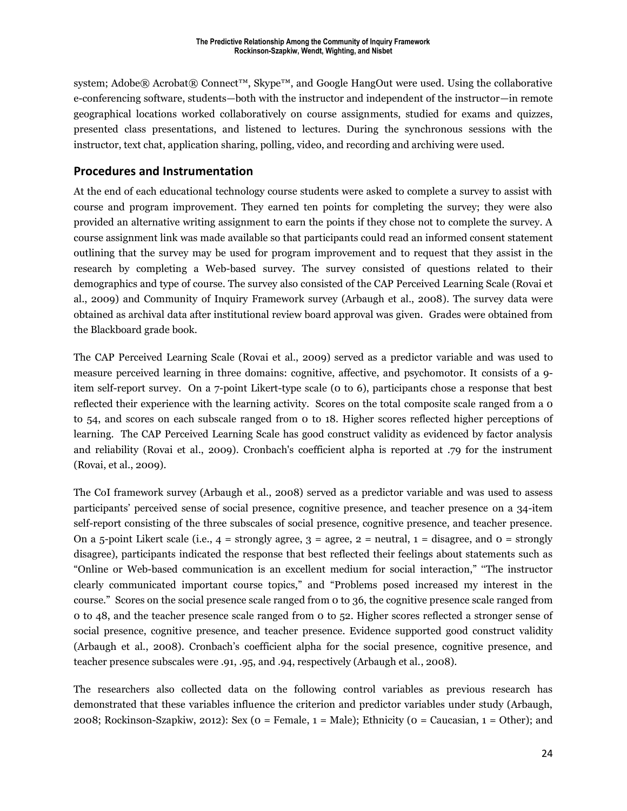system; Adobe® Acrobat® Connect™, Skype™, and Google HangOut were used. Using the collaborative e-conferencing software, students—both with the instructor and independent of the instructor—in remote geographical locations worked collaboratively on course assignments, studied for exams and quizzes, presented class presentations, and listened to lectures. During the synchronous sessions with the instructor, text chat, application sharing, polling, video, and recording and archiving were used.

#### **Procedures and Instrumentation**

At the end of each educational technology course students were asked to complete a survey to assist with course and program improvement. They earned ten points for completing the survey; they were also provided an alternative writing assignment to earn the points if they chose not to complete the survey. A course assignment link was made available so that participants could read an informed consent statement outlining that the survey may be used for program improvement and to request that they assist in the research by completing a Web-based survey. The survey consisted of questions related to their demographics and type of course. The survey also consisted of the CAP Perceived Learning Scale (Rovai et al., 2009) and Community of Inquiry Framework survey (Arbaugh et al., 2008). The survey data were obtained as archival data after institutional review board approval was given. Grades were obtained from the Blackboard grade book.

The CAP Perceived Learning Scale (Rovai et al., 2009) served as a predictor variable and was used to measure perceived learning in three domains: cognitive, affective, and psychomotor. It consists of a 9 item self-report survey. On a 7-point Likert-type scale (0 to 6), participants chose a response that best reflected their experience with the learning activity. Scores on the total composite scale ranged from a 0 to 54, and scores on each subscale ranged from 0 to 18. Higher scores reflected higher perceptions of learning. The CAP Perceived Learning Scale has good construct validity as evidenced by factor analysis and reliability (Rovai et al., 2009). Cronbach's coefficient alpha is reported at .79 for the instrument (Rovai, et al., 2009).

The CoI framework survey (Arbaugh et al., 2008) served as a predictor variable and was used to assess participants' perceived sense of social presence, cognitive presence, and teacher presence on a 34-item self-report consisting of the three subscales of social presence, cognitive presence, and teacher presence. On a 5-point Likert scale (i.e.,  $4 =$  strongly agree,  $3 =$  agree,  $2 =$  neutral,  $1 =$  disagree, and  $0 =$  strongly disagree), participants indicated the response that best reflected their feelings about statements such as "Online or Web-based communication is an excellent medium for social interaction," ''The instructor clearly communicated important course topics," and "Problems posed increased my interest in the course." Scores on the social presence scale ranged from 0 to 36, the cognitive presence scale ranged from 0 to 48, and the teacher presence scale ranged from 0 to 52. Higher scores reflected a stronger sense of social presence, cognitive presence, and teacher presence. Evidence supported good construct validity (Arbaugh et al., 2008). Cronbach's coefficient alpha for the social presence, cognitive presence, and teacher presence subscales were .91, .95, and .94, respectively (Arbaugh et al., 2008).

The researchers also collected data on the following control variables as previous research has demonstrated that these variables influence the criterion and predictor variables under study (Arbaugh, 2008; Rockinson-Szapkiw, 2012): Sex (0 = Female, 1 = Male); Ethnicity (0 = Caucasian, 1 = Other); and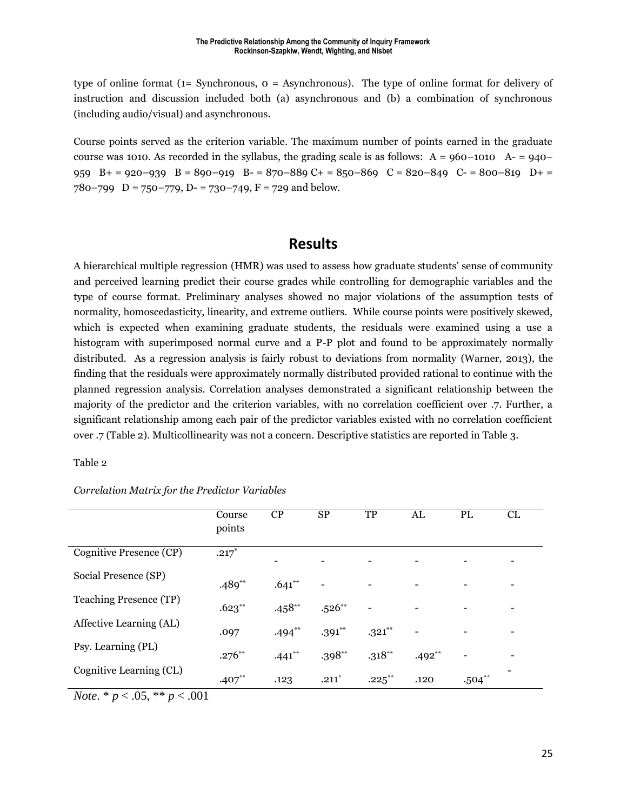type of online format ( $1=$  Synchronous,  $o =$  Asynchronous). The type of online format for delivery of instruction and discussion included both (a) asynchronous and (b) a combination of synchronous (including audio/visual) and asynchronous.

Course points served as the criterion variable. The maximum number of points earned in the graduate course was 1010. As recorded in the syllabus, the grading scale is as follows:  $A = 960-1010$  A- = 940– 959  $B_+ = 920 - 939$   $B = 890 - 919$   $B_+ = 870 - 889$   $C_+ = 850 - 869$   $C = 820 - 849$   $C_+ = 800 - 819$   $D_+ =$ 780–799  $D = 750 - 779$ ,  $D = 730 - 749$ ,  $F = 729$  and below.

### **Results**

A hierarchical multiple regression (HMR) was used to assess how graduate students' sense of community and perceived learning predict their course grades while controlling for demographic variables and the type of course format. Preliminary analyses showed no major violations of the assumption tests of normality, homoscedasticity, linearity, and extreme outliers. While course points were positively skewed, which is expected when examining graduate students, the residuals were examined using a use a histogram with superimposed normal curve and a P-P plot and found to be approximately normally distributed. As a regression analysis is fairly robust to deviations from normality (Warner, 2013), the finding that the residuals were approximately normally distributed provided rational to continue with the planned regression analysis. Correlation analyses demonstrated a significant relationship between the majority of the predictor and the criterion variables, with no correlation coefficient over .7. Further, a significant relationship among each pair of the predictor variables existed with no correlation coefficient over .7 (Table 2). Multicollinearity was not a concern. Descriptive statistics are reported in Table 3.

#### Table 2

*Correlation Matrix for the Predictor Variables*

|                                                                                                                                                   | Course   | CP        | <b>SP</b>   | TP        | AL       | PL              | CL |
|---------------------------------------------------------------------------------------------------------------------------------------------------|----------|-----------|-------------|-----------|----------|-----------------|----|
|                                                                                                                                                   | points   |           |             |           |          |                 |    |
|                                                                                                                                                   |          |           |             |           |          |                 |    |
| Cognitive Presence (CP)                                                                                                                           | $.217*$  |           |             |           |          |                 |    |
|                                                                                                                                                   |          |           |             |           |          |                 |    |
| Social Presence (SP)                                                                                                                              |          |           |             |           |          |                 |    |
|                                                                                                                                                   | $.489**$ | $.641**$  |             |           |          | -               |    |
|                                                                                                                                                   |          |           |             |           |          |                 |    |
| Teaching Presence (TP)                                                                                                                            | $.623**$ | $.458**$  | $.526^{**}$ |           |          |                 |    |
|                                                                                                                                                   |          |           |             |           |          |                 |    |
| Affective Learning (AL)                                                                                                                           |          |           |             |           |          |                 |    |
|                                                                                                                                                   | .097     | $.494***$ | $.391***$   | $.321***$ |          |                 |    |
| Psy. Learning (PL)                                                                                                                                |          |           |             |           |          |                 |    |
|                                                                                                                                                   | $.276**$ | $.441***$ | $.398**$    | $.318***$ | $.492**$ | $\qquad \qquad$ |    |
|                                                                                                                                                   |          |           |             |           |          |                 |    |
| Cognitive Learning (CL)                                                                                                                           |          |           |             |           |          |                 |    |
|                                                                                                                                                   | $.407**$ | .123      | $.211*$     | $.225***$ | .120     | $.504^{**}$     |    |
| $\overline{M}$ $\rightarrow$ $\overline{M}$ $\rightarrow$ $\overline{M}$ $\overline{M}$ $\rightarrow$ $\overline{M}$ $\rightarrow$ $\overline{M}$ |          |           |             |           |          |                 |    |

*Note*. \* *p* < .05, \*\* *p* < .001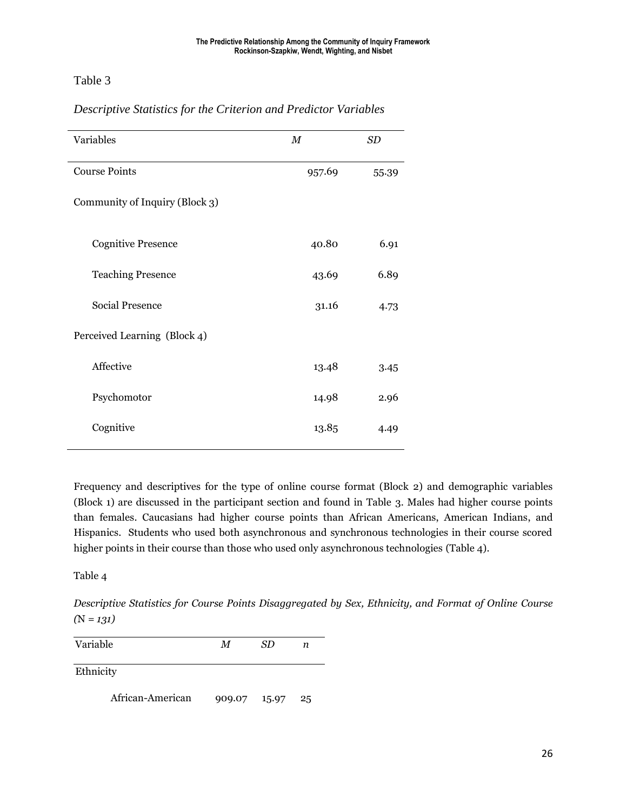Table 3

| Variables                      | М      | SD    |
|--------------------------------|--------|-------|
| <b>Course Points</b>           | 957.69 | 55.39 |
| Community of Inquiry (Block 3) |        |       |
|                                |        |       |
| <b>Cognitive Presence</b>      | 40.80  | 6.91  |
| <b>Teaching Presence</b>       | 43.69  | 6.89  |
| <b>Social Presence</b>         | 31.16  | 4.73  |
| Perceived Learning (Block 4)   |        |       |
| Affective                      | 13.48  | 3.45  |
| Psychomotor                    | 14.98  | 2.96  |
| Cognitive                      | 13.85  | 4.49  |

*Descriptive Statistics for the Criterion and Predictor Variables*

Frequency and descriptives for the type of online course format (Block 2) and demographic variables (Block 1) are discussed in the participant section and found in Table 3. Males had higher course points than females. Caucasians had higher course points than African Americans, American Indians, and Hispanics. Students who used both asynchronous and synchronous technologies in their course scored higher points in their course than those who used only asynchronous technologies (Table 4).

Table 4

*Descriptive Statistics for Course Points Disaggregated by Sex, Ethnicity, and Format of Online Course (*N *= 131)*

Variable *M SD n* Ethnicity

African-American 909.07 15.97 25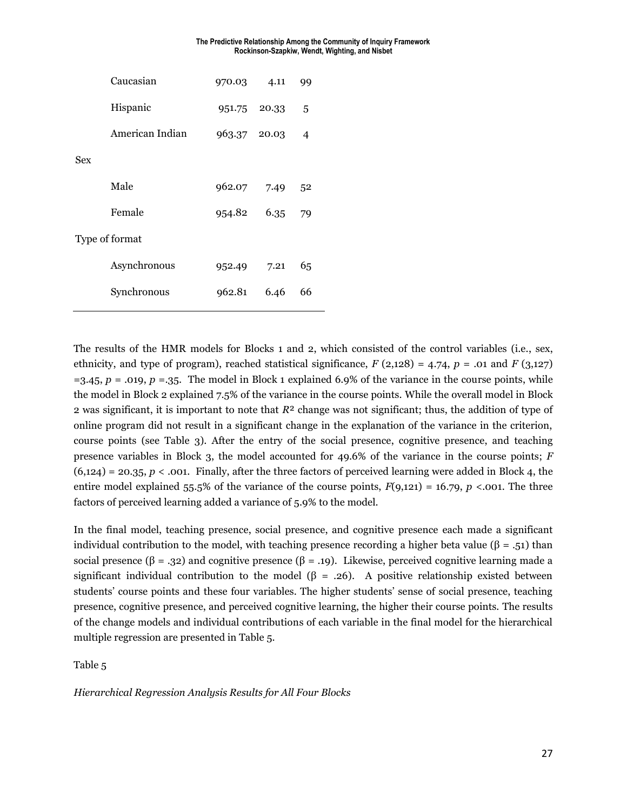|                | Caucasian       |              | 970.03 4.11    | 99             |  |  |
|----------------|-----------------|--------------|----------------|----------------|--|--|
|                | Hispanic        |              | 951.75 20.33   | 5              |  |  |
|                | American Indian | 963.37 20.03 |                | $\overline{4}$ |  |  |
| Sex            |                 |              |                |                |  |  |
|                | Male            |              | 962.07 7.49 52 |                |  |  |
|                | Female          |              | 954.82 6.35 79 |                |  |  |
| Type of format |                 |              |                |                |  |  |
|                | Asynchronous    | 952.49 7.21  |                | 65             |  |  |
|                | Synchronous     | 962.81 6.46  |                | 66             |  |  |
|                |                 |              |                |                |  |  |

The results of the HMR models for Blocks 1 and 2, which consisted of the control variables (i.e., sex, ethnicity, and type of program), reached statistical significance,  $F(2,128) = 4.74$ ,  $p = .01$  and  $F(3,127)$  $=3.45$ ,  $p = .019$ ,  $p = .35$ . The model in Block 1 explained 6.9% of the variance in the course points, while the model in Block 2 explained 7.5% of the variance in the course points. While the overall model in Block 2 was significant, it is important to note that *R*² change was not significant; thus, the addition of type of online program did not result in a significant change in the explanation of the variance in the criterion, course points (see Table 3). After the entry of the social presence, cognitive presence, and teaching presence variables in Block 3, the model accounted for 49.6% of the variance in the course points; *F*   $(6,124) = 20.35, p < .001$ . Finally, after the three factors of perceived learning were added in Block 4, the entire model explained  $55.5\%$  of the variance of the course points,  $F(9,121) = 16.79$ ,  $p < .001$ . The three factors of perceived learning added a variance of 5.9% to the model.

**The Predictive Relationship Among the Community of Inquiry Framework Rockinson-Szapkiw, Wendt, Wighting, and Nisbet**

In the final model, teaching presence, social presence, and cognitive presence each made a significant individual contribution to the model, with teaching presence recording a higher beta value (β = .51) than social presence ( $\beta$  = .32) and cognitive presence ( $\beta$  = .19). Likewise, perceived cognitive learning made a significant individual contribution to the model ( $\beta$  = .26). A positive relationship existed between students' course points and these four variables. The higher students' sense of social presence, teaching presence, cognitive presence, and perceived cognitive learning, the higher their course points. The results of the change models and individual contributions of each variable in the final model for the hierarchical multiple regression are presented in Table 5.

Table 5

*Hierarchical Regression Analysis Results for All Four Blocks*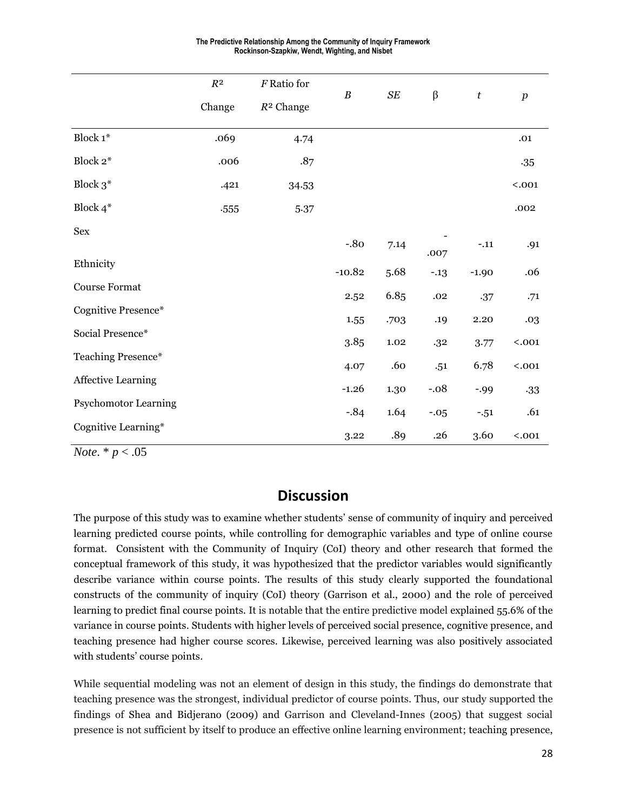|                             | $\mathbb{R}^2$ | $F$ Ratio for |                  |           |         |                  |                  |
|-----------------------------|----------------|---------------|------------------|-----------|---------|------------------|------------------|
|                             | Change         | $R2$ Change   | $\boldsymbol{B}$ | $\cal SE$ | $\beta$ | $\boldsymbol{t}$ | $\boldsymbol{p}$ |
| Block 1*                    | .069           | 4.74          |                  |           |         |                  | .01              |
| Block $2^*$                 | .006           | .87           |                  |           |         |                  | .35              |
| Block 3*                    | .421           | 34.53         |                  |           |         |                  | < .001           |
| Block $4^*$                 | .555           | 5.37          |                  |           |         |                  | .002             |
| <b>Sex</b>                  |                |               |                  |           |         |                  |                  |
|                             |                |               | $-0.80$          | 7.14      | .007    | $-.11$           | .91              |
| Ethnicity                   |                |               | $-10.82$         | 5.68      | $-0.13$ | $-1.90$          | .06              |
| <b>Course Format</b>        |                |               | 2.52             | 6.85      | .02     | .37              | .71              |
| Cognitive Presence*         |                |               |                  |           |         | 2.20             |                  |
| Social Presence*            |                |               | 1.55             | .703      | .19     |                  | .03              |
|                             |                |               | 3.85             | 1.02      | .32     | 3.77             | < .001           |
| Teaching Presence*          |                |               | 4.07             | .60       | .51     | 6.78             | < .001           |
| <b>Affective Learning</b>   |                |               | $-1.26$          | 1.30      | $-.08$  | $-0.99$          | .33              |
| <b>Psychomotor Learning</b> |                |               | $-0.84$          | 1.64      | $-.05$  | $-.51$           | .61              |
| Cognitive Learning*         |                |               | 3.22             | .89       | .26     | 3.60             | < .001           |

**The Predictive Relationship Among the Community of Inquiry Framework Rockinson-Szapkiw, Wendt, Wighting, and Nisbet**

*Note*. \* *p* < .05

## **Discussion**

The purpose of this study was to examine whether students' sense of community of inquiry and perceived learning predicted course points, while controlling for demographic variables and type of online course format. Consistent with the Community of Inquiry (CoI) theory and other research that formed the conceptual framework of this study, it was hypothesized that the predictor variables would significantly describe variance within course points. The results of this study clearly supported the foundational constructs of the community of inquiry (CoI) theory (Garrison et al., 2000) and the role of perceived learning to predict final course points. It is notable that the entire predictive model explained 55.6% of the variance in course points. Students with higher levels of perceived social presence, cognitive presence, and teaching presence had higher course scores. Likewise, perceived learning was also positively associated with students' course points.

While sequential modeling was not an element of design in this study, the findings do demonstrate that teaching presence was the strongest, individual predictor of course points. Thus, our study supported the findings of Shea and Bidjerano (2009) and Garrison and Cleveland-Innes (2005) that suggest social presence is not sufficient by itself to produce an effective online learning environment; teaching presence,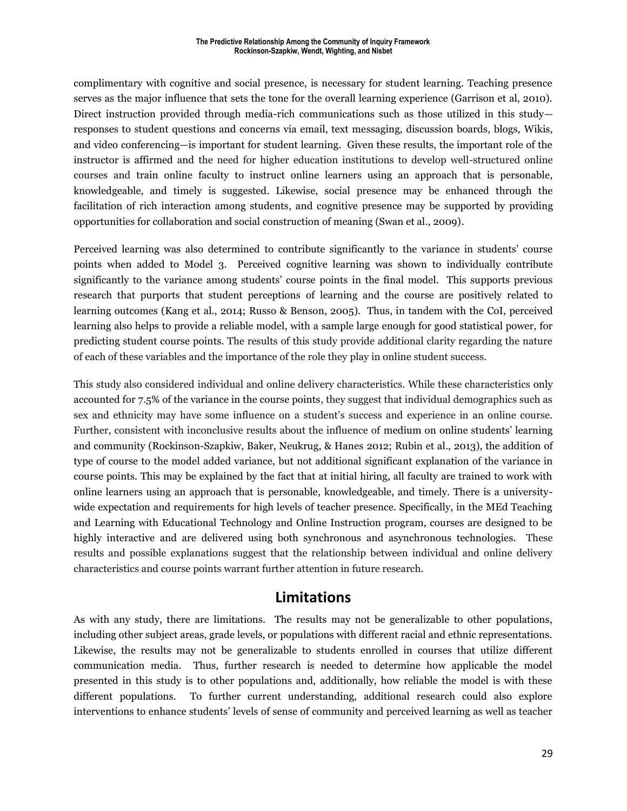complimentary with cognitive and social presence, is necessary for student learning. Teaching presence serves as the major influence that sets the tone for the overall learning experience (Garrison et al, 2010). Direct instruction provided through media-rich communications such as those utilized in this study responses to student questions and concerns via email, text messaging, discussion boards, blogs, Wikis, and video conferencing—is important for student learning. Given these results, the important role of the instructor is affirmed and the need for higher education institutions to develop well-structured online courses and train online faculty to instruct online learners using an approach that is personable, knowledgeable, and timely is suggested. Likewise, social presence may be enhanced through the facilitation of rich interaction among students, and cognitive presence may be supported by providing opportunities for collaboration and social construction of meaning (Swan et al., 2009).

Perceived learning was also determined to contribute significantly to the variance in students' course points when added to Model 3. Perceived cognitive learning was shown to individually contribute significantly to the variance among students' course points in the final model. This supports previous research that purports that student perceptions of learning and the course are positively related to learning outcomes (Kang et al., 2014; Russo & Benson, 2005). Thus, in tandem with the CoI, perceived learning also helps to provide a reliable model, with a sample large enough for good statistical power, for predicting student course points. The results of this study provide additional clarity regarding the nature of each of these variables and the importance of the role they play in online student success.

This study also considered individual and online delivery characteristics. While these characteristics only accounted for 7.5% of the variance in the course points, they suggest that individual demographics such as sex and ethnicity may have some influence on a student's success and experience in an online course. Further, consistent with inconclusive results about the influence of medium on online students' learning and community (Rockinson-Szapkiw, Baker, Neukrug, & Hanes 2012; Rubin et al., 2013), the addition of type of course to the model added variance, but not additional significant explanation of the variance in course points. This may be explained by the fact that at initial hiring, all faculty are trained to work with online learners using an approach that is personable, knowledgeable, and timely. There is a universitywide expectation and requirements for high levels of teacher presence. Specifically, in the MEd Teaching and Learning with Educational Technology and Online Instruction program, courses are designed to be highly interactive and are delivered using both synchronous and asynchronous technologies. These results and possible explanations suggest that the relationship between individual and online delivery characteristics and course points warrant further attention in future research.

## **Limitations**

As with any study, there are limitations. The results may not be generalizable to other populations, including other subject areas, grade levels, or populations with different racial and ethnic representations. Likewise, the results may not be generalizable to students enrolled in courses that utilize different communication media. Thus, further research is needed to determine how applicable the model presented in this study is to other populations and, additionally, how reliable the model is with these different populations. To further current understanding, additional research could also explore interventions to enhance students' levels of sense of community and perceived learning as well as teacher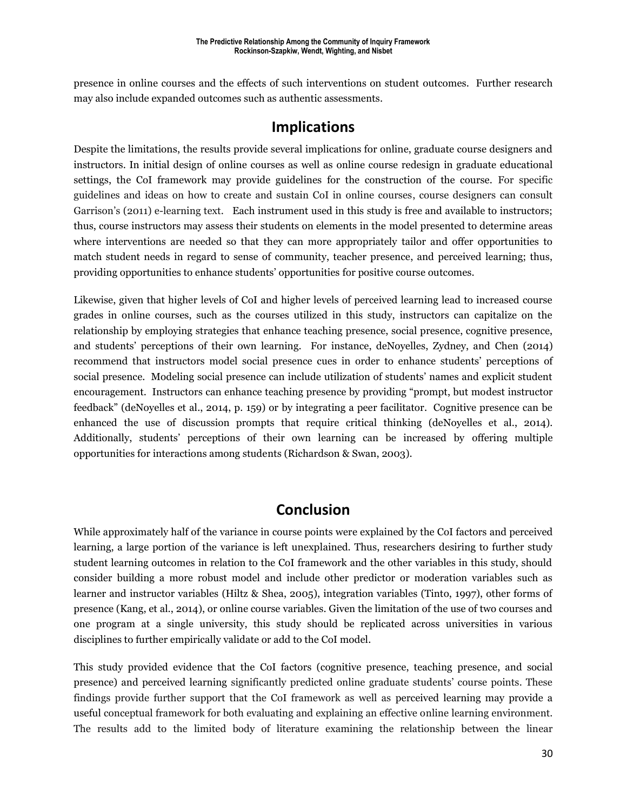presence in online courses and the effects of such interventions on student outcomes. Further research may also include expanded outcomes such as authentic assessments.

## **Implications**

Despite the limitations, the results provide several implications for online, graduate course designers and instructors. In initial design of online courses as well as online course redesign in graduate educational settings, the CoI framework may provide guidelines for the construction of the course. For specific guidelines and ideas on how to create and sustain CoI in online courses, course designers can consult Garrison's (2011) e-learning text. Each instrument used in this study is free and available to instructors; thus, course instructors may assess their students on elements in the model presented to determine areas where interventions are needed so that they can more appropriately tailor and offer opportunities to match student needs in regard to sense of community, teacher presence, and perceived learning; thus, providing opportunities to enhance students' opportunities for positive course outcomes.

Likewise, given that higher levels of CoI and higher levels of perceived learning lead to increased course grades in online courses, such as the courses utilized in this study, instructors can capitalize on the relationship by employing strategies that enhance teaching presence, social presence, cognitive presence, and students' perceptions of their own learning. For instance, deNoyelles, Zydney, and Chen (2014) recommend that instructors model social presence cues in order to enhance students' perceptions of social presence. Modeling social presence can include utilization of students' names and explicit student encouragement. Instructors can enhance teaching presence by providing "prompt, but modest instructor feedback" (deNoyelles et al., 2014, p. 159) or by integrating a peer facilitator. Cognitive presence can be enhanced the use of discussion prompts that require critical thinking (deNoyelles et al., 2014). Additionally, students' perceptions of their own learning can be increased by offering multiple opportunities for interactions among students (Richardson & Swan, 2003).

## **Conclusion**

While approximately half of the variance in course points were explained by the CoI factors and perceived learning, a large portion of the variance is left unexplained. Thus, researchers desiring to further study student learning outcomes in relation to the CoI framework and the other variables in this study, should consider building a more robust model and include other predictor or moderation variables such as learner and instructor variables (Hiltz & Shea, 2005), integration variables (Tinto, 1997), other forms of presence (Kang, et al., 2014), or online course variables. Given the limitation of the use of two courses and one program at a single university, this study should be replicated across universities in various disciplines to further empirically validate or add to the CoI model.

This study provided evidence that the CoI factors (cognitive presence, teaching presence, and social presence) and perceived learning significantly predicted online graduate students' course points. These findings provide further support that the CoI framework as well as perceived learning may provide a useful conceptual framework for both evaluating and explaining an effective online learning environment. The results add to the limited body of literature examining the relationship between the linear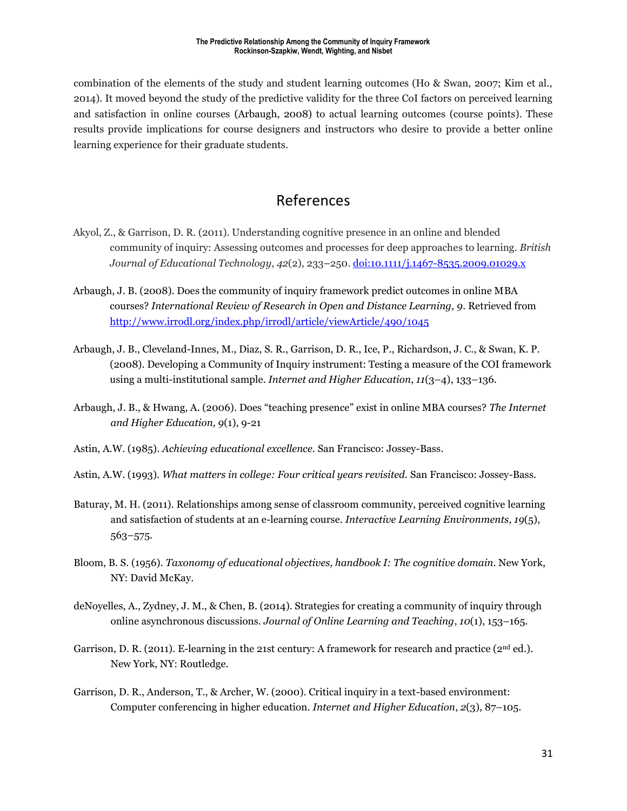combination of the elements of the study and student learning outcomes (Ho & Swan, 2007; Kim et al., 2014). It moved beyond the study of the predictive validity for the three CoI factors on perceived learning and satisfaction in online courses (Arbaugh, 2008) to actual learning outcomes (course points). These results provide implications for course designers and instructors who desire to provide a better online learning experience for their graduate students.

## References

- Akyol, Z., & Garrison, D. R. (2011). Understanding cognitive presence in an online and blended community of inquiry: Assessing outcomes and processes for deep approaches to learning. *British Journal of Educational Technology*, *42*(2), 233–250. <doi:10.1111/j.1467-8535.2009.01029.x>
- Arbaugh, J. B. (2008). Does the community of inquiry framework predict outcomes in online MBA courses? *International Review of Research in Open and Distance Learning, 9*. Retrieved from <http://www.irrodl.org/index.php/irrodl/article/viewArticle/490/1045>
- Arbaugh, J. B., Cleveland-Innes, M., Diaz, S. R., Garrison, D. R., Ice, P., Richardson, J. C., & Swan, K. P. (2008). Developing a Community of Inquiry instrument: Testing a measure of the COI framework using a multi-institutional sample. *Internet and Higher Education*, *11*(3–4), 133–136.
- Arbaugh, J. B., & Hwang, A. (2006). Does "teaching presence" exist in online MBA courses? *The Internet and Higher Education, 9*(1), 9-21
- Astin, A.W. (1985). *Achieving educational excellence.* San Francisco: Jossey-Bass.
- Astin, A.W. (1993). *What matters in college: Four critical years revisited.* San Francisco: Jossey-Bass.
- Baturay, M. H. (2011). Relationships among sense of classroom community, perceived cognitive learning and satisfaction of students at an e-learning course. *Interactive Learning Environments*, *19*(5), 563–575.
- Bloom, B. S. (1956). *Taxonomy of educational objectives, handbook I: The cognitive domain*. New York, NY: David McKay.
- deNoyelles, A., Zydney, J. M., & Chen, B. (2014). Strategies for creating a community of inquiry through online asynchronous discussions. *Journal of Online Learning and Teaching*, *10*(1), 153–165.
- Garrison, D. R. (2011). E-learning in the 21st century: A framework for research and practice (2<sup>nd</sup> ed.). New York, NY: Routledge.
- Garrison, D. R., Anderson, T., & Archer, W. (2000). Critical inquiry in a text-based environment: Computer conferencing in higher education. *Internet and Higher Education*, *2*(3), 87–105.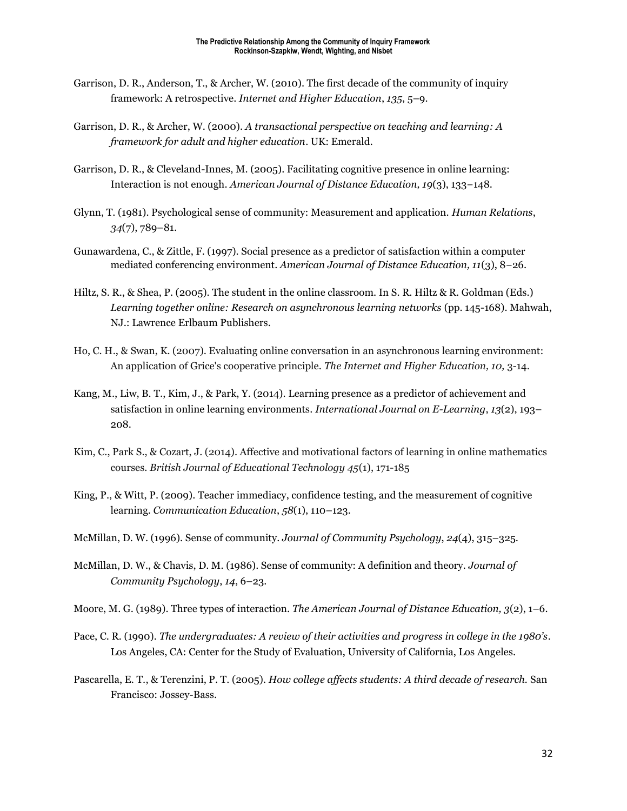- Garrison, D. R., Anderson, T., & Archer, W. (2010). The first decade of the community of inquiry framework: A retrospective. *Internet and Higher Education*, *135*, 5–9.
- Garrison, D. R., & Archer, W. (2000). *A transactional perspective on teaching and learning: A framework for adult and higher education*. UK: Emerald.
- Garrison, D. R., & Cleveland-Innes, M. (2005). Facilitating cognitive presence in online learning: Interaction is not enough. *American Journal of Distance Education, 19*(3), 133−148.
- Glynn, T. (1981). Psychological sense of community: Measurement and application. *Human Relations*, *34*(7), 789–81.
- Gunawardena, C., & Zittle, F. (1997). Social presence as a predictor of satisfaction within a computer mediated conferencing environment. *American Journal of Distance Education, 11*(3), 8−26.
- Hiltz, S. R., & Shea, P. (2005). The student in the online classroom. In S. R. Hiltz & R. Goldman (Eds.) Learning together online: Research on asynchronous learning networks (pp. 145-168). Mahwah, NJ.: Lawrence Erlbaum Publishers.
- Ho, C. H., & Swan, K. (2007). Evaluating online conversation in an asynchronous learning environment: An application of Grice's cooperative principle. *The Internet and Higher Education, 10,* 3-14.
- Kang, M., Liw, B. T., Kim, J., & Park, Y. (2014). Learning presence as a predictor of achievement and satisfaction in online learning environments. *International Journal on E-Learning*, *13*(2), 193– 208.
- Kim, C., Park S., & Cozart, J. (2014). Affective and motivational factors of learning in online mathematics courses. *British Journal of Educational Technology 45*(1), 171-185
- King, P., & Witt, P. (2009). Teacher immediacy, confidence testing, and the measurement of cognitive learning. *Communication Education*, *58*(1), 110–123.
- McMillan, D. W. (1996). Sense of community. *Journal of Community Psychology*, *24*(4), 315–325.
- McMillan, D. W., & Chavis, D. M. (1986). Sense of community: A definition and theory. *Journal of Community Psychology*, *14*, 6–23.
- Moore, M. G. (1989). Three types of interaction. *The American Journal of Distance Education, 3*(2), 1–6.
- Pace, C. R. (1990). *The undergraduates: A review of their activities and progress in college in the 1980's*. Los Angeles, CA: Center for the Study of Evaluation, University of California, Los Angeles.
- Pascarella, E. T., & Terenzini, P. T. (2005). *How college affects students: A third decade of research.* San Francisco: Jossey-Bass.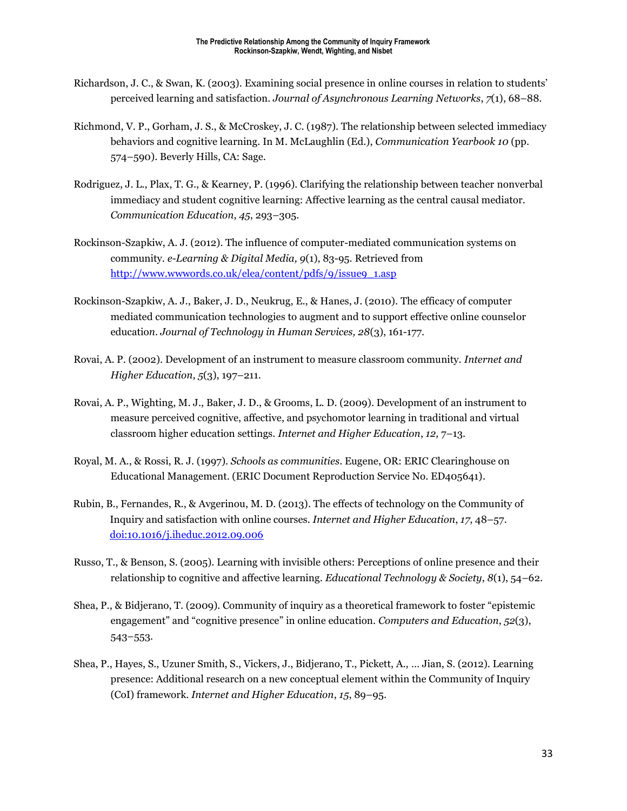- Richardson, J. C., & Swan, K. (2003). Examining social presence in online courses in relation to students' perceived learning and satisfaction. *Journal of Asynchronous Learning Networks*, *7*(1), 68–88.
- Richmond, V. P., Gorham, J. S., & McCroskey, J. C. (1987). The relationship between selected immediacy behaviors and cognitive learning. In M. McLaughlin (Ed.), *Communication Yearbook 10* (pp. 574–590). Beverly Hills, CA: Sage.
- Rodriguez, J. L., Plax, T. G., & Kearney, P. (1996). Clarifying the relationship between teacher nonverbal immediacy and student cognitive learning: Affective learning as the central causal mediator. *Communication Education*, *45*, 293–305.
- Rockinson-Szapkiw, A. J. (2012). The influence of computer-mediated communication systems on community. *e-Learning & Digital Media, 9*(1), 83-95. Retrieved from [http://www.wwwords.co.uk/elea/content/pdfs/9/issue9\\_1.asp](http://www.wwwords.co.uk/elea/content/pdfs/9/issue9_1.asp)
- Rockinson-Szapkiw, A. J., Baker, J. D., Neukrug, E., & Hanes, J. (2010). The efficacy of computer mediated communication technologies to augment and to support effective online counselor educatio*n*. *Journal of Technology in Human Services, 28*(3), 161-177.
- Rovai, A. P. (2002). Development of an instrument to measure classroom community. *Internet and Higher Education*, *5*(3), 197–211.
- Rovai, A. P., Wighting, M. J., Baker, J. D., & Grooms, L. D. (2009). Development of an instrument to measure perceived cognitive, affective, and psychomotor learning in traditional and virtual classroom higher education settings. *Internet and Higher Education*, *12,* 7–13.
- Royal, M. A., & Rossi, R. J. (1997). *Schools as communities*. Eugene, OR: ERIC Clearinghouse on Educational Management. (ERIC Document Reproduction Service No. ED405641).
- Rubin, B., Fernandes, R., & Avgerinou, M. D. (2013). The effects of technology on the Community of Inquiry and satisfaction with online courses. *Internet and Higher Education*, *17*, 48–57. <doi:10.1016/j.iheduc.2012.09.006>
- Russo, T., & Benson, S. (2005). Learning with invisible others: Perceptions of online presence and their relationship to cognitive and affective learning. *Educational Technology & Society*, *8*(1), 54–62.
- Shea, P., & Bidjerano, T. (2009). Community of inquiry as a theoretical framework to foster "epistemic engagement" and "cognitive presence" in online education. *Computers and Education*, *52*(3), 543–553.
- Shea, P., Hayes, S., Uzuner Smith, S., Vickers, J., Bidjerano, T., Pickett, A., … Jian, S. (2012). Learning presence: Additional research on a new conceptual element within the Community of Inquiry (CoI) framework. *Internet and Higher Education*, *15*, 89–95.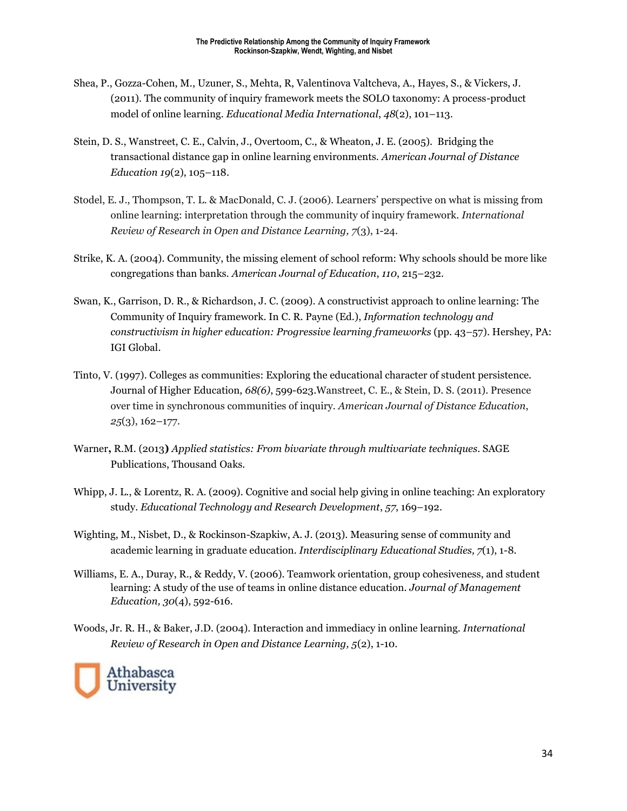- Shea, P., Gozza-Cohen, M., Uzuner, S., Mehta, R, Valentinova Valtcheva, A., Hayes, S., & Vickers, J. (2011). The community of inquiry framework meets the SOLO taxonomy: A process-product model of online learning. *Educational Media International*, *48*(2), 101–113.
- Stein, D. S., Wanstreet, C. E., Calvin, J., Overtoom, C., & Wheaton, J. E. (2005). Bridging the transactional distance gap in online learning environments. *American Journal of Distance Education 19*(2), 105–118.
- Stodel, E. J., Thompson, T. L. & MacDonald, C. J. (2006). Learners' perspective on what is missing from online learning: interpretation through the community of inquiry framework. *International Review of Research in Open and Distance Learning, 7*(3), 1-24.
- Strike, K. A. (2004). Community, the missing element of school reform: Why schools should be more like congregations than banks. *American Journal of Education*, *110*, 215–232.
- Swan, K., Garrison, D. R., & Richardson, J. C. (2009). A constructivist approach to online learning: The Community of Inquiry framework. In C. R. Payne (Ed.), *Information technology and constructivism in higher education: Progressive learning frameworks* (pp. 43–57). Hershey, PA: IGI Global.
- Tinto, V. (1997). Colleges as communities: Exploring the educational character of student persistence. Journal of Higher Education, *68(6)*, 599-623.Wanstreet, C. E., & Stein, D. S. (2011). Presence over time in synchronous communities of inquiry. *American Journal of Distance Education*, *25*(3), 162–177.
- Warner**,** R.M. (2013**)** *Applied statistics: From bivariate through multivariate techniques*. SAGE Publications, Thousand Oaks.
- Whipp, J. L., & Lorentz, R. A. (2009). Cognitive and social help giving in online teaching: An exploratory study. *Educational Technology and Research Development*, *57*, 169–192.
- Wighting, M., Nisbet, D., & Rockinson-Szapkiw, A. J. (2013). Measuring sense of community and academic learning in graduate education. *Interdisciplinary Educational Studies, 7*(1), 1-8.
- Williams, E. A., Duray, R., & Reddy, V. (2006). Teamwork orientation, group cohesiveness, and student learning: A study of the use of teams in online distance education. *Journal of Management Education, 30*(4), 592-616.
- Woods, Jr. R. H., & Baker, J.D. (2004). Interaction and immediacy in online learning. *International Review of Research in Open and Distance Learning, 5*(2), 1-10.